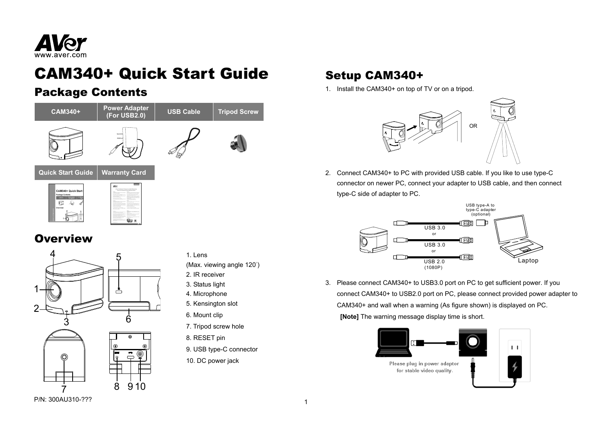

# CAM340+ Quick Start Guide

### Package Contents



**Qo** a

### **Overview**



#### 1. Lens

(Max. viewing angle 120°)

- 2. IR receiver
- 3. Status light
- 4. Microphone
- 5. Kensington slot
- 6. Mount clip
- 7. Tripod screw hole
- 8. RESET pin
- 9. USB type-C connector
- 10. DC power jack

## Setup CAM340+

1. Install the CAM340+ on top of TV or on a tripod.



2. Connect CAM340+ to PC with provided USB cable. If you like to use type-C connector on newer PC, connect your adapter to USB cable, and then connect type-C side of adapter to PC.



3. Please connect CAM340+ to USB3.0 port on PC to get sufficient power. If you connect CAM340+ to USB2.0 port on PC, please connect provided power adapter to CAM340+ and wall when a warning (As figure shown) is displayed on PC.  **[Note]** The warning message display time is short.



P/N: 300AU310-???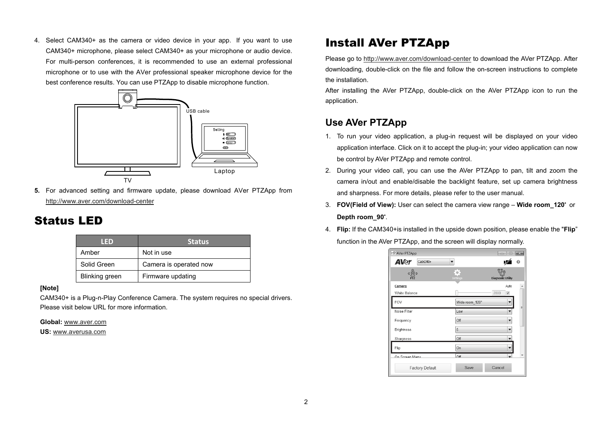4. Select CAM340+ as the camera or video device in your app. If you want to use CAM340+ microphone, please select CAM340+ as your microphone or audio device. For multi-person conferences, it is recommended to use an external professional microphone or to use with the AVer professional speaker microphone device for the best conference results. You can use PTZApp to disable microphone function.



**5.** For advanced setting and firmware update, please download AVer PTZApp from http://www.aver.com/download-center

### Status LED

| I ED.          | <b>Status</b>          |
|----------------|------------------------|
| Amber          | Not in use             |
| Solid Green    | Camera is operated now |
| Blinking green | Firmware updating      |

#### **[Note]**

CAM340+ is a Plug-n-Play Conference Camera. The system requires no special drivers. Please visit below URL for more information.

**Global:** www.aver.com

**US:** www.averusa.com

## Install AVer PTZApp

Please go to http://www.aver.com/download-center to download the AVer PTZApp. After downloading, double-click on the file and follow the on-screen instructions to complete the installation.

After installing the AVer PTZApp, double-click on the AVer PTZApp icon to run the application.

#### **Use AVer PTZApp**

- 1. To run your video application, a plug-in request will be displayed on your video application interface. Click on it to accept the plug-in; your video application can now be control by AVer PTZApp and remote control.
- 2. During your video call, you can use the AVer PTZApp to pan, tilt and zoom the camera in/out and enable/disable the backlight feature, set up camera brightness and sharpness. For more details, please refer to the user manual.
- 3. **FOV(Field of View):** User can select the camera view range **Wide room\_120**° or **Depth room\_90**°.
- 4. **Flip:** If the CAM340+is installed in the upside down position, please enable the "**Flip**" function in the AVer PTZApp, and the screen will display normally.

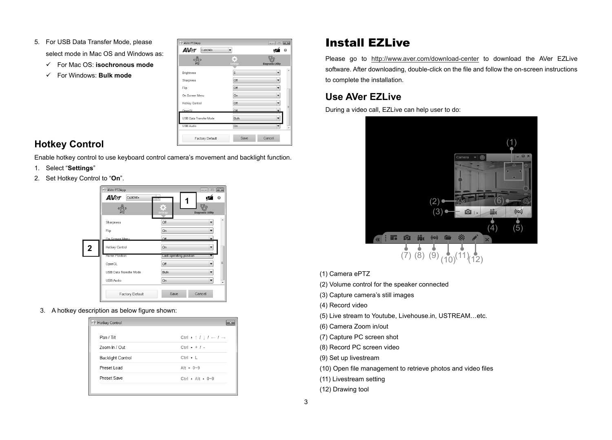- 5. For USB Data Transfer Mode, please select mode in Mac OS and Windows as:
	- For Mac OS: **isochronous mode**
	- For Windows: **Bulk mode**

| $\frac{\hat{\mathbb{Q}}}{\mathbb{P} \mathbb{P} \mathbb{Z}}$ | $\bullet$   |                           |  |
|-------------------------------------------------------------|-------------|---------------------------|--|
|                                                             | Settings    | <b>Diagnostic Utility</b> |  |
| <b>Brightness</b>                                           | 5           | ▼                         |  |
| Sharpness                                                   | Off         | ▼                         |  |
| Flip                                                        | Off         | $\overline{\phantom{a}}$  |  |
| On Screen Menu                                              | On          | ▼                         |  |
| Hotkey Control                                              | Off         |                           |  |
| OnenGL                                                      | Off         | $\overline{\phantom{0}}$  |  |
| USB Data Transfer Mode                                      | <b>Bulk</b> |                           |  |
| <b>USB Audio</b>                                            | On          |                           |  |

### **Hotkey Control**

Enable hotkey control to use keyboard control camera's movement and backlight function.

- 1. Select "**Settings**"
- 2. Set Hotkey Control to "**On**".



3. A hotkey description as below figure shown:

| Pan / Tilt               | Ctrl + $\uparrow$ / $\downarrow$ / $\leftarrow$ / $\rightarrow$ |
|--------------------------|-----------------------------------------------------------------|
| Zoom In / Out            | $Ctrl + + / -$                                                  |
| <b>Backlight Control</b> | $Ctrl + L$                                                      |
| Preset Load              | $Alt + 0 - 9$                                                   |
| Preset Save              | Ctrl + Alt + $0\neg 9$                                          |

## Install EZLive

Please go to http://www.aver.com/download-center to download the AVer EZLive software. After downloading, double-click on the file and follow the on-screen instructions to complete the installation.

### **Use AVer EZLive**

During a video call, EZLive can help user to do:



(1) Camera ePTZ

(2) Volume control for the speaker connected

(3) Capture camera's still images

(4) Record video

(5) Live stream to Youtube, Livehouse.in, USTREAM…etc.

(6) Camera Zoom in/out

(7) Capture PC screen shot

(8) Record PC screen video

(9) Set up livestream

- (10) Open file management to retrieve photos and video files
- (11) Livestream setting
- (12) Drawing tool